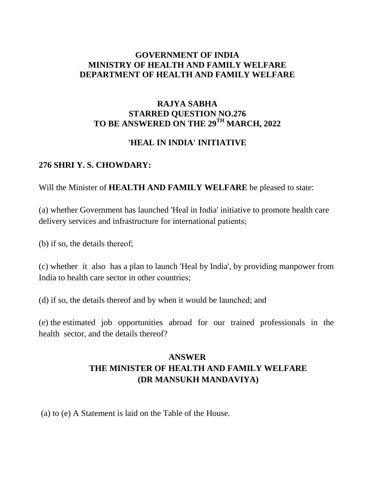### **GOVERNMENT OF INDIA MINISTRY OF HEALTH AND FAMILY WELFARE DEPARTMENT OF HEALTH AND FAMILY WELFARE**

## **RAJYA SABHA STARRED QUESTION NO.276 TO BE ANSWERED ON THE 29TH MARCH, 2022**

## **'HEAL IN INDIA' INITIATIVE**

#### **276 SHRI Y. S. CHOWDARY:**

Will the Minister of **HEALTH AND FAMILY WELFARE** be pleased to state:

(a) whether Government has launched 'Heal in India' initiative to promote health care delivery services and infrastructure for international patients;

(b) if so, the details thereof;

(c) whether it also has a plan to launch 'Heal by India', by providing manpower from India to health care sector in other countries;

(d) if so, the details thereof and by when it would be launched; and

(e) the estimated job opportunities abroad for our trained professionals in the health sector, and the details thereof?

# **ANSWER THE MINISTER OF HEALTH AND FAMILY WELFARE (DR MANSUKH MANDAVIYA)**

(a) to (e) A Statement is laid on the Table of the House.